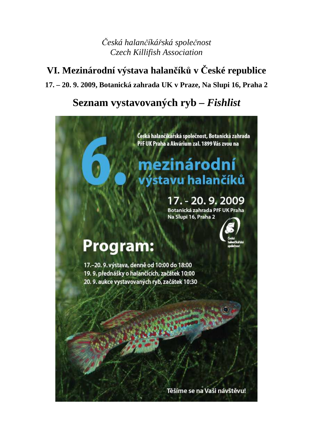*Česká halančíkářská společnost Czech Killifish Association* 

# **VI. Mezinárodní výstava halančíků v České republice**

## **17. – 20. 9. 2009, Botanická zahrada UK v Praze, Na Slupi 16, Praha 2**

# **Seznam vystavovaných ryb –** *Fishlist*

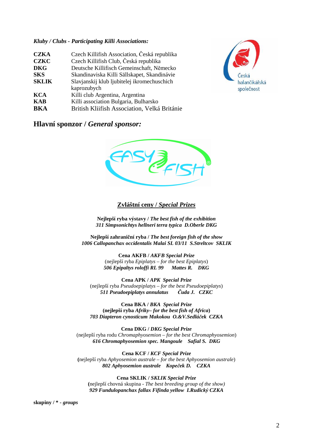#### *Kluby / Clubs - Participating Killi Associations:*

| <b>CZKA</b>  | Czech Killifish Association, Česká republika |
|--------------|----------------------------------------------|
| <b>CZKC</b>  | Czech Killifish Club, Česká republika        |
| <b>DKG</b>   | Deutsche Killifisch Gemeinschaft, Německo    |
| <b>SKS</b>   | Skandinaviska Killi Sällskapet, Skandinávie  |
| <b>SKLIK</b> | Slavjanskij klub ljubitelej ikromechuschich  |
|              | kaprozubych                                  |
| <b>KCA</b>   | Killi club Argentina, Argentina              |
| <b>KAB</b>   | Killi association Bulgaria, Bulharsko        |
| <b>RKA</b>   | British Kliifish Association, Velká Británie |



#### **Hlavní sponzor /** *General sponsor:*



#### **Zvláštní ceny /** *Special Prizes*

**Nejlepší ryba výstavy /** *The best fish of the exhibition 311 Simpsonichtys hellneri terra typica D.Oberle DKG*

**Nejlepší zahraniční ryba /** *The best foreign fish of the show 1006 Callopanchax occidentalis Malai SL 03/11 S.Streltcov SKLIK*

> **Cena AKFB /** *AKFB Special Prize* (nejlepší ryba *Epiplatys* – *for the best Epiplatys*) *506 Epipaltys roloffi RL 99 Mattes R. DKG*

**Cena APK /** *APK Special Prize* (nejlepší ryba *Pseudoepiplatys* – *for the best Pseudoepiplatys*) *511 Pseudoepiplatys annulatus Čuda J. CZKC* 

**Cena BKA /** *BKA Special Prize* **(nejlepší ryba** *Afriky***–** *for the best fish of Africa***)**  *703 Diapteron cynosticum Makokou O.&V.Sedláček CZKA*

**Cena DKG /** *DKG Special Prize* (nejlepší ryba rodu *Chromaphyosemion* – *for the best Chromaphyosemion*) *616 Chromaphyosemion spec. Mangoule Safial S. DKG* 

**Cena KCF /** *KCF Special Prize* **(**nejlepší ryba *Aphyosemion australe* – *for the best Aphyosemion australe*) *802 Aphyosemion australe Kopeček D. CZKA* 

**Cena SKLIK /** *SKLIK Special Prize* **(**nejlepší chovná skupina - *The best breeding group of the show) 929 Fundulopanchax fallax Fifinda yellow I.Rudický CZKA*

**skupiny / \* -** *groups*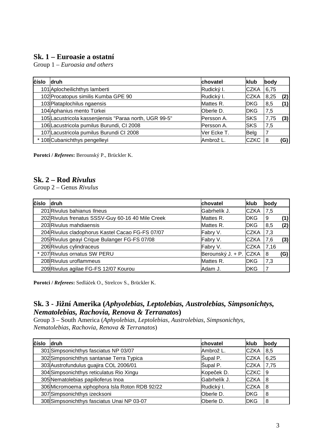### **Sk. 1 – Euroasie a ostatní**

Group 1 *– Euroasia and others* 

| číslo | druh                                                   | chovatel    | klub        | body |     |
|-------|--------------------------------------------------------|-------------|-------------|------|-----|
|       | 101 Aplocheilichthys lamberti                          | Rudický I.  | <b>CZKA</b> | 6,75 |     |
|       | 102 Procatopus similis Kumba GPE 90                    | Rudický I.  | <b>CZKA</b> | 8,25 | (2) |
|       | 103 Plataplochilus ngaensis                            | Mattes R.   | <b>DKG</b>  | 8,5  | (1) |
|       | 104 Aphanius mento Türkei                              | Oberle D.   | <b>DKG</b>  | 7,5  |     |
|       | 105 Lacustricola kassenjiensis "Paraa north, UGR 99-5" | Persson A.  | <b>SKS</b>  | 7,75 | (3) |
|       | 106 Lacustricola pumilus Burundi, CI 2008              | Persson A.  | <b>SKS</b>  | 7,5  |     |
|       | 107 Lacustricola pumilus Burundi CI 2008               | Ver Ecke T. | Belg        |      |     |
|       | * 108 Cubanichthys pengelleyi                          | Ambrož L.   | <b>CZKC</b> | 8    | G)  |

**Porotci /** *Referees***:** Berounský P., Brückler K.

#### **Sk. 2 – Rod** *Rivulus*

Group 2 – Genus *Rivulus*

| číslo | <b>druh</b>                                       | chovatel               | klub         | body |     |
|-------|---------------------------------------------------|------------------------|--------------|------|-----|
|       | 201 Rivulus bahianus Ilneus                       | Gabrhelík J.           | <b>CZKA</b>  | 7,5  |     |
|       | 202 Rivulus frenatus SSSV-Guy 60-16 40 Mile Creek | Mattes R.              | <b>IDKG</b>  | 9    | (1) |
|       | 203 Rivulus mahdiaensis                           | Mattes R.              | <b>DKG</b>   | 8,5  | (2) |
|       | 204 Rivulus cladophorus Kastel Cacao FG-FS 07/07  | Fabry V.               | <b>CZKA</b>  | 7,3  |     |
|       | 205 Rivulus geayi Crique Bulanger FG-FS 07/08     | Fabry V.               | <b>ICZKA</b> | 7,6  | (3) |
|       | 206 Rivulus cylindraceus                          | Fabry V.               | <b>CZKA</b>  | 7,16 |     |
|       | * 207 Rivulus ornatus SW PERU                     | Berounský J. + P. CZKA |              | 8    | (G) |
|       | 208 Rivulus uroflammeus                           | Mattes R.              | <b>IDKG</b>  | 7,3  |     |
|       | 209 Rivulus agilae FG-FS 12/07 Kourou             | lAdam J.               | <b>IDKG</b>  | 7    |     |

**Porotci /** *Referees***:** Sedláček O., Strelcov S., Brückler K.

### **Sk. 3 - Jižní Amerika (***Aphyolebias, Leptolebias, Austrolebias, Simpsonichtys, Nematolebias, Rachovia, Renova & Terranatos***)**

Group 3 – South America (*Aphyolebias, Leptolebias, Austrolebias, Simpsonichtys, Nematolebias, Rachovia, Renova & Terranatos*)

| číslo | <b>druh</b>                                    | chovatel     | <b>klub</b> | body |
|-------|------------------------------------------------|--------------|-------------|------|
|       | 301 Simpsonichthys fasciatus NP 03/07          | Ambrož L.    | <b>CZKA</b> | 8,5  |
|       | 302 Simpsonichthys santanae Terra Typica       | Šupal P.     | <b>CZKA</b> | 6,25 |
|       | 303 Austrofundulus guajira COL 2006/01         | Šupal P.     | <b>CZKA</b> | 7,75 |
|       | 304 Simpsonichthys reticulatus Rio Xingu       | Kopeček D.   | <b>CZKC</b> | 9    |
|       | 305 Nematolebias papilioferus Inoa             | Gabrhelík J. | <b>CZKA</b> | 8    |
|       | 306 Micromoema xiphophora Isla Roton RDB 92/22 | Rudický I.   | <b>CZKA</b> | 8    |
|       | 307 Simpsonichthys izecksoni                   | Oberle D.    | <b>DKG</b>  | 8    |
|       | 308 Simpsonichthys fasciatus Unai NP 03-07     | Oberle D.    | <b>DKG</b>  | 8    |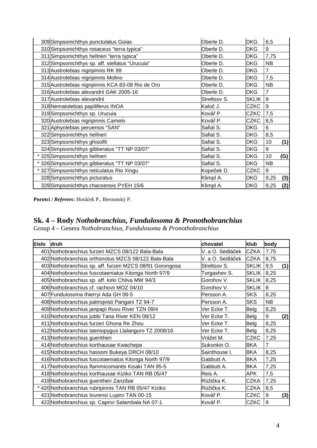| 309 Simpsonichthys punctulatus Goias              | Oberle D.    | <b>DKG</b>   | 6,5            |     |
|---------------------------------------------------|--------------|--------------|----------------|-----|
| 310 Simpsonichthys rosaceus "terra typica"        | Oberle D.    | <b>DKG</b>   | 9              |     |
| 311 Simpsonichthys hellneri "terra typica"        | Oberle D.    | <b>DKG</b>   | 7,75           |     |
| 312 Simpsonichthys sp. aff. stellatus "Urucuia"   | Oberle D.    | <b>DKG</b>   | <b>NB</b>      |     |
| 313 Austrolebias nigripinnis RK 99                | Oberle D.    | <b>DKG</b>   | $\overline{7}$ |     |
| 314 Austrolebias nigripinnis Molino               | Oberle D.    | <b>DKG</b>   | 7,5            |     |
| 315 Austrolebias nigripinnis KCA 83-08 Rio de Oro | Oberle D.    | <b>DKG</b>   | <b>NB</b>      |     |
| 316 Austrolebias alexandrii GAK 2005-16           | Oberle D.    | <b>DKG</b>   | $\overline{7}$ |     |
| 317 Austrolebias alexandrii                       | Streltsov S. | <b>SKLIK</b> | 9              |     |
| 318 Nematolebias papiliferus INOA                 | Kaloč J.     | <b>CZKC</b>  | 9              |     |
| 319 Simpsonichthys sp. Urucuia                    | Kovář P.     | <b>CZKC</b>  | 7,5            |     |
| 320 Austrolebias nigripinnis Camelo               | Kovář P.     | <b>CZKC</b>  | 8,5            |     |
| 321 Aphyolebias peruensis "SAN"                   | Safial S.    | <b>DKG</b>   | 6              |     |
| 322 Simpsonichthys hellneri                       | Safial S.    | <b>DKG</b>   | 8,5            |     |
| 323 Simpsonichthys ghisolfii                      | Safial S.    | <b>DKG</b>   | 10             | (1) |
| 324 Simpsonichthys gibberatus "TT NP 03/07"       | Safial S.    | <b>DKG</b>   | 9              |     |
| * 325 Simpsonichthys hellneri                     | Safial S.    | <b>DKG</b>   | 10             | (G) |
| * 326 Simpsonichthys gibberatus "TT NP 03/07"     | Safial S.    | <b>DKG</b>   | <b>NB</b>      |     |
| * 327 Simpsonichthys reticulatus Rio Xingu        | Kopeček D.   | <b>CZKC</b>  | 9              |     |
| 328 Simpsonichthys picturatus                     | Klimpl A.    | <b>DKG</b>   | 9,25           | (3) |
| 329 Simpsonichthys chacoensis PYEH 15/6           | Klimpl A.    | <b>DKG</b>   | 9,25           | (2) |

**Porotci /** *Referees***:** Horáček P., Berounský P.

### **Sk. 4 – Rody** *Nothobranchius, Fundulosoma & Pronothobranchius*

Group 4 – Genera *Nothobranchius, Fundulosoma & Pronothobranchius*

| číslo | druh                                                     | chovatel         | klub         | body             |     |
|-------|----------------------------------------------------------|------------------|--------------|------------------|-----|
|       | 401 Nothobranchius furzeri MZCS 08/122 Bala-Bala         | V. a O. Sedláček | <b>CZKA</b>  | 7,75             |     |
|       | 402 Nothobranchius orthonotus MZCS 08/122 Bala-Bala      | V. a O. Sedláček | <b>CZKA</b>  | 8,75             |     |
|       | 403 Nothobranchius sp. aff. furzeri MZCS 08/91 Gorongosa | Streltsov S.     | <b>SKLIK</b> | 9,5              | (1) |
|       | 404 Nothobranchius fuscotaeniatus Kitonga North 97/9     | Torgashev S.     | <b>SKLIK</b> | 8,25             |     |
|       | 405 Nothobranchius sp. aff. kirki Chilva MW 94/3         | Gorohov V.       | <b>SKLIK</b> | 8,25             |     |
|       | 406 Nothobranchius cf. rachovii MOZ 04/10                | Gorohov V.       | <b>SKLIK</b> | 8                |     |
|       | 407 Fundulosoma thierryi Ada GH 06-5                     | Persson A.       | <b>SKS</b>   | 8,25             |     |
|       | 408 Nothobranchius palmqvisti Pangani TZ 94-7            | Persson A.       | <b>SKS</b>   | <b>NB</b>        |     |
|       | 409 Nothobranchius janpapi Ruvu River TZN 09/4           | Ver Ecke T.      | Belg         | 8,25             |     |
|       | 410 Nothobranchius jubbi Tana River KEN 08/12            | Ver Ecke T.      | Belg         | 9                | (2) |
|       | 411 Nothobranchius furzeri Ghona Re Zhou                 | Ver Ecke T.      | Belg         | 8,25             |     |
|       | 412 Nothobranchius taeniopygus Llalanguro TZ 2008/16     | Ver Ecke T.      | <b>Belg</b>  | 8,25             |     |
|       | 413 Nothobranchius guentheri                             | Vrážel M.        | <b>CZKC</b>  | 7,25             |     |
|       | 414 Nothobranchius korthausae Kwachepa                   | Sukonkin O.      | <b>BKA</b>   | $\overline{7}$   |     |
|       | 415 Nothobranchius hassoni Bukeya DRCH 08/10             | Sainthouse I.    | <b>BKA</b>   | 8,25             |     |
|       | 416 Nothobranchius fuscotaeniatus Kitonga North 97/9     | Gabbutt A.       | <b>BKA</b>   | 7,25             |     |
|       | 417 Nothobranchius flammicomantis Kisaki TAN 95-5        | Gabbutt A.       | <b>BKA</b>   | 7,25             |     |
|       | 418 Nothobranchius korthausae Kiziko TAN RB 05/47        | Reis A.          | <b>APK</b>   | 7,5              |     |
|       | 419 Nothobranchius guentheri Zanzibar                    | Růžička K.       | <b>CZKA</b>  | 7,25             |     |
|       | * 420 Nothobranchius rubripinnis TAN RB 05/47 Kiziko     | Růžička K.       | <b>CZKA</b>  | 8,5              |     |
|       | 421 Nothobranchius Iourensi Lupiro TAN 00-15             | Kovář P.         | <b>CZKC</b>  | $\boldsymbol{9}$ | (3) |
|       | 422 Nothobranchius sp. Caprivi Salambala NA 07-1         | Kovář P.         | <b>CZKC</b>  | 9                |     |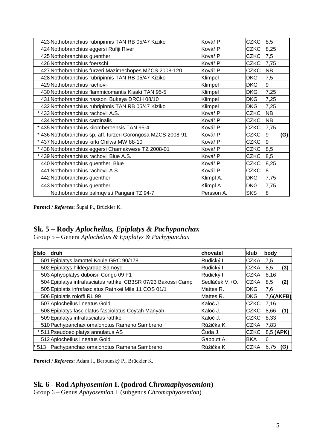| 423 Nothobranchius rubripinnis TAN RB 05/47 Kiziko           | Kovář P.   | <b>CZKC</b> | 8,5       |     |
|--------------------------------------------------------------|------------|-------------|-----------|-----|
| 424 Nothobranchius eggersi Rufiji River                      | Kovář P.   | <b>CZKC</b> | 8,25      |     |
| 425 Nothobranchius guentheri                                 | Kovář P.   | <b>CZKC</b> | 7,5       |     |
| 426 Nothobranchius foerschi                                  | Kovář P.   | <b>CZKC</b> | 7,75      |     |
| 427 Nothobranchius furzeri Mazimechopes MZCS 2008-120        | Kovář P.   | <b>CZKC</b> | <b>NB</b> |     |
| 428 Nothobranchius rubripinnis TAN RB 05/47 Kiziko           | Klimpel    | <b>DKG</b>  | 7,5       |     |
| 429 Nothobranchius rachovii                                  | Klimpel    | <b>DKG</b>  | 9         |     |
| 430 Nothobranchius flammicomantis Kisaki TAN 95-5            | Klimpel    | <b>DKG</b>  | 7,25      |     |
| 431 Nothobranchius hassoni Bukeya DRCH 08/10                 | Klimpel    | DKG         | 7,25      |     |
| 432 Nothobranchius rubripinnis TAN RB 05/47 Kiziko           | Klimpel    | <b>DKG</b>  | 7,25      |     |
| 433 Nothobranchius rachovii A.S.                             | Kovář P.   | <b>CZKC</b> | <b>NB</b> |     |
| 434 Nothobranchius cardinalis                                | Kovář P.   | <b>CZKC</b> | NB.       |     |
| * 435 Nothobranchius kilomberoensis TAN 95-4                 | Kovář P.   | <b>CZKC</b> | 7,75      |     |
| * 436 Nothobranchius sp. aff. furzeri Gorongosa MZCS 2008-91 | Kovář P.   | <b>CZKC</b> | 9         | (G) |
| * 437 Nothobranchius kirki Chilwa MW 88-10                   | Kovář P.   | <b>CZKC</b> | 9         |     |
| * 438 Nothobranchius eggersi Chamakwese TZ 2008-01           | Kovář P.   | <b>CZKC</b> | 8,5       |     |
| * 439 Nothobranchius rachovii Blue A.S.                      | Kovář P.   | <b>CZKC</b> | 8,5       |     |
| 440 Nothobranchius guentheri Blue                            | Kovář P.   | <b>CZKC</b> | 8,25      |     |
| 441 Nothobranchius rachovii A.S.                             | Kovář P.   | <b>CZKC</b> | 8         |     |
| 442 Nothobranchius guentheri                                 | Klimpl A.  | <b>DKG</b>  | 7,75      |     |
| 443 Nothobranchius guentheri                                 | Klimpl A.  | <b>DKG</b>  | 7,75      |     |
| Nothobranchius palmqvisti Pangani TZ 94-7                    | Persson A. | <b>SKS</b>  | 8         |     |

**Porotci /** *Referees***:** Šupal P., Brückler K.

### **Sk. 5 – Rody** *Aplocheilus, Epiplatys & Pachypanchax*

Group 5 – Genera *Aplochelius & Epiplatys & Pachypanchax*

| číslo | <b>druh</b>                                                   | chovatel       | klub         | body        |
|-------|---------------------------------------------------------------|----------------|--------------|-------------|
|       | 501 Epiplatys lamottei Koule GRC 90/178                       | Rudický I.     | <b>CZKA</b>  | 7,5         |
|       | 502 Epiplatys hildegardae Samoye                              | Rudický I.     | <b>CZKA</b>  | (3)<br>8,5  |
|       | 503 Aphyoplatys duboisi Congo 09 F1                           | Rudický I.     | <b>ICZKA</b> | 8,16        |
|       | 504 Epiplatys infrafasciatus rathkei CB3SR 07/23 Bakossi Camp | Sedláček V.+O. | <b>CZKA</b>  | (2)<br>8,5  |
|       | 505 Epiplatis infrafasciatus Rathkei Mile 11 COS 01/1         | Mattes R.      | <b>IDKG</b>  | 7,6         |
|       | 506 Epiplatis roloffi RL 99                                   | Mattes R.      | <b>IDKG</b>  | 7,6(AKFB)   |
|       | 507 Aplocheilus lineatus Gold                                 | Kaloč J.       | <b>CZKC</b>  | 7,16        |
|       | 508 Epiplatys fasciolatus fasciolatus Coytah Manyah           | Kaloč J.       | <b>CZKC</b>  | (1)<br>8,66 |
|       | 509 Epiplatys infrafasciatus rathkei                          | Kaloč J.       | <b>CZKC</b>  | 8,33        |
|       | 510 Pachypanchax omalonotus Rameno Sambreno                   | IRůžička K.    | <b>CZKA</b>  | 7,83        |
|       | * 511 Pseudoepiplatys annulatus AS                            | lCuda J.       | <b>CZKC</b>  | 8,5 (APK)   |
|       | 512 Aplocheilus lineatus Gold                                 | Gabbutt A.     | <b>BKA</b>   | 6           |
|       | 513 Pachypanchax omalonotus Ramena Sambreno                   | Růžička K.     | <b>CZKA</b>  | 8,75<br>(G) |

**Porotci /** *Referees***:** Adam J., Berounský P., Brückler K.

## **Sk. 6 - Rod** *Aphyosemion* **I. (podrod** *Chromaphyosemion***)**

Group 6 – Genus *Aphyosemion* I. (subgenus *Chromaphyosemion*)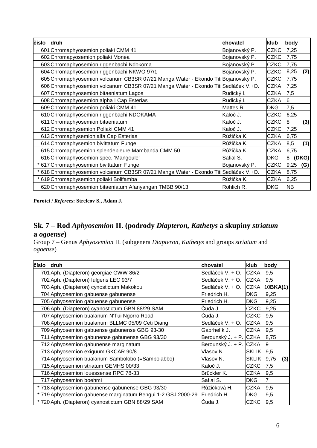| číslo | druh                                                                                 | chovatel      | klub        | body        |
|-------|--------------------------------------------------------------------------------------|---------------|-------------|-------------|
|       | 601 Chromaphyosemion poliaki CMM 41                                                  | Bojanovský P. | <b>CZKC</b> | 7,25        |
|       | 602 Chromapyosemion poliaki Monea                                                    | Bojanovský P. | <b>CZKC</b> | 7,75        |
|       | 603 Chromaphyosemion riggenbachi Ndokoma                                             | Bojanovský P. | <b>CZKC</b> | 7,75        |
|       | 604 Chromaphyosemion riggenbachi NKWO 97/1                                           | Bojanovský P. | <b>CZKC</b> | 8,25<br>(2) |
|       | 605 Chromaphyosemion volcanum CB3SR 07/21 Manga Water - Ekondo Titi Bojanovský P.    |               | <b>CZKC</b> | 7,75        |
|       | 606 Chromaphyosemion volcanum CB3SR 07/21 Manga Water - Ekondo Titi Sedláček V.+O.   |               | <b>CZKA</b> | 7,25        |
|       | 607 Chromaphyosemion bitaeniatum Lagos                                               | Rudický I.    | <b>CZKA</b> | 7,5         |
|       | 608 Chromaphyosemion alpha I Cap Esterias                                            | Rudický I.    | <b>CZKA</b> | 6           |
|       | 609 Chromaphyosemion poliaki CMM 41                                                  | Mattes R.     | <b>DKG</b>  | 7,5         |
|       | 610 Chromaphyosemion riggenbachi NDOKAMA                                             | Kaloč J.      | <b>CZKC</b> | 6,25        |
|       | 611 Chromaphyosemion bitaeniatum                                                     | Kaloč J.      | <b>CZKC</b> | 8<br>(3)    |
|       | 612 Chromaphysemion Poliaki CMM 41                                                   | Kaloč J.      | <b>CZKC</b> | 7,25        |
|       | 613 Chromaphysemion alfa Cap Esterias                                                | Růžička K.    | <b>CZKA</b> | 6,75        |
|       | 614 Chromaphysemion bivittatum Funge                                                 | Růžička K.    | <b>CZKA</b> | 8,5<br>(1)  |
|       | 615 Chromaphysemion splendepleure Mambanda CMM 50                                    | Růžička K.    | <b>CZKA</b> | 6,75        |
|       | 616 Chromaphyosemion spec. 'Mangoule'                                                | Safial S.     | <b>DKG</b>  | (DKG)<br>8  |
|       | * 617 Chromaphyosemion bivittatum Funge                                              | Bojanovský P. | <b>CZKC</b> | 9,25<br>(G) |
|       | * 618 Chromaphyosemion volcanum CB3SR 07/21 Manga Water - Ekondo Titi Sedláček V.+O. |               | <b>CZKA</b> | 8,75        |
|       | * 619 Chromaphysemion poliaki Bolifamba                                              | Růžička K.    | <b>CZKA</b> | 6,25        |
|       | 620 Chromaphyosemion bitaeniatum Afanyangan TMBB 90/13                               | Röhlich R.    | <b>DKG</b>  | <b>NB</b>   |

**Porotci /** *Referees***: Strelcov S., Adam J.**

## **Sk. 7 – Rod** *Aphyosemion* **II. (podrody** *Diapteron, Kathetys* **a skupiny** *striatum*  **a** *ogoense***)**

Group 7 – Genus *Aphyosemion* II. (subgenera *Diapteron, Kathetys* and groups *striatum* and *ogoense*)

| číslo | druh                                                         | chovatel               | klub         | body           |
|-------|--------------------------------------------------------------|------------------------|--------------|----------------|
|       | 701 Aph. (Diapteron) georgiae GWW 86/2                       | Sedláček V. + O.       | <b>CZKA</b>  | 9,5            |
|       | 702 Aph. (Diapteron) fulgens LEC 93/7                        | Sedláček V. + O.       | <b>CZKA</b>  | 9,5            |
|       | 703 Aph. (Diapteron) cynostictum Makokou                     | Sedláček V. + O.       | <b>CZKA</b>  | 10BKA(1)       |
|       | 704 Aphyosemion gabuense gabunense                           | Friedrich H.           | <b>DKG</b>   | 9,25           |
|       | 705 Aphyosemion gabuense gabunense                           | Friedrich H.           | <b>DKG</b>   | 9,25           |
|       | 706 Aph. (Diapteron) cyanostictum GBN 88/29 SAM              | Čuda J.                | <b>CZKC</b>  | 9,25           |
|       | 707 Aphyosemion bualanum N'Tui Ngorro Road                   | Čuda J.                | <b>CZKC</b>  | 9,5            |
|       | 708 Aphyosemion bualanum BLLMC 05/09 Ceti Diang              | Sedláček V. + O.       | <b>CZKA</b>  | 9,5            |
|       | 709 Aphyosemion gabuense gabunense GBG 93-30                 | Gabrhelík J.           | <b>CZKA</b>  | 9,5            |
|       | 711 Aphyosemion gabunense gabunense GBG 93/30                | Berounský J. + P. CZKA |              | 8,75           |
|       | 712 Aphyosemion gabunense marginatum                         | Berounský J. + P. CZKA |              | 9              |
|       | 713 Aphyosemion exiguum GKCAR 90/8                           | Vlasov N.              | <b>SKLIK</b> | 9,5            |
|       | 714 Aphyosemion bualanum Sambolobo (=Sambolabbo)             | Vlasov N.              | <b>SKLIK</b> | (3)<br>9,75    |
|       | 715 Aphyosemion striatum GEMHS 00/33                         | Kaloč J.               | <b>CZKC</b>  | 7,5            |
|       | 716 Aphyosemion louessense RPC 78-33                         | Brückler K.            | <b>CZKA</b>  | 9,5            |
|       | 717 Aphyosemion boehmi                                       | Safial S.              | DKG.         | $\overline{7}$ |
|       | *718 Aphyosemion gabunense gabunense GBG 93/30               | Růžičková H.           | <b>CZKA</b>  | 9,5            |
|       | * 719 Aphyosemion gabuense marginatum Bengui 1-2 GSJ 2000-29 | Friedrich H.           | <b>DKG</b>   | 9,5            |
|       | * 720 Aph. (Diapteron) cyanostictum GBN 88/29 SAM            | Čuda J.                | <b>CZKC</b>  | 9,5            |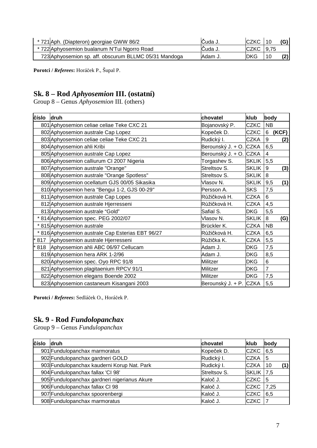| * 721 Aph. (Diapteron) georgiae GWW 86/2              | Cuda J.  | <b>ICZKC</b>   | -10 |     |
|-------------------------------------------------------|----------|----------------|-----|-----|
| * 722 Aphyosemion bualanum N'Tui Ngorro Road          | Cuda J.  | $ CZKC$   9.75 |     |     |
| 723 Aphyosemion sp. aff. obscurum BLLMC 05/31 Mandoga | 'Adam J. | <b>IDKG</b>    | 10  | (2) |

**Porotci /** *Referees***:** Horáček P., Šupal P.

## **Sk. 8 – Rod** *Aphyosemion* **III. (ostatní)**

Group 8 – Genus *Aphyosemion* III. (others)

| číslo | druh                                              | chovatel               | klub         | body                    |       |
|-------|---------------------------------------------------|------------------------|--------------|-------------------------|-------|
|       | 801 Aphyosemion celiae celiae Teke CXC 21         | Bojanovský P.          | <b>CZKC</b>  | <b>NB</b>               |       |
|       | 802 Aphyosemion australe Cap Lopez                | Kopeček D.             | <b>CZKC</b>  | 6                       | (KCF) |
|       | 803 Aphyosemion celiae celiae Teke CXC 21         | Rudický I.             | <b>CZKA</b>  | 9                       | (2)   |
|       | 804 Aphyosemion ahli Kribi                        | Berounský J. + O. CZKA |              | 6,5                     |       |
|       | 805 Aphyosemion australe Cap Lopez                | Berounský J. + O. CZKA |              | $\overline{\mathbf{4}}$ |       |
|       | 806 Aphyosemion calliurum CI 2007 Nigeria         | Torgashev S.           | <b>SKLIK</b> | 5,5                     |       |
|       | 807 Aphyosemion australe "Orange"                 | Streltsov S.           | <b>SKLIK</b> | 9                       | (3)   |
|       | 808 Aphyosemion australe "Orange Spotless"        | Streltsov S.           | <b>SKLIK</b> | 8                       |       |
|       | 809 Aphyosemion ocellatum GJS 00/05 Sikasika      | Vlasov N.              | <b>SKLIK</b> | 9,5                     | (1)   |
|       | 810 Aphyosemion hera "Bengui 1-2, GJS 00-29"      | Persson A.             | <b>SKS</b>   | 7,5                     |       |
|       | 811 Aphyosemion australe Cap Lopes                | Růžičková H.           | <b>CZKA</b>  | 6                       |       |
|       | 812 Aphyosemion australe Hjerresseni              | Růžičková H.           | <b>CZKA</b>  | 4,5                     |       |
|       | 813 Aphyosemion australe "Gold"                   | Safial S.              | <b>DKG</b>   | 5,5                     |       |
|       | * 814 Aphyosemion spec. PEG 2002/07               | Vlasov N.              | <b>SKLIK</b> | 8                       | (G)   |
|       | * 815 Aphyosemion australe                        | Brückler K.            | <b>CZKA</b>  | NB                      |       |
|       | * 816 Aphyosemion australe Cap Esterias EBT 96/27 | Růžičková H.           | <b>CZKA</b>  | 6,5                     |       |
| 817   | Aphyosemion australe Hjerresseni                  | lRůžička K.            | <b>CZKA</b>  | 5,5                     |       |
|       | 818 Aphyosemion ahli ABC 06/97 Cellucam           | Adam J.                | <b>DKG</b>   | 7,5                     |       |
|       | 819 Aphyosemion hera ARK 1-2/96                   | Adam J.                | <b>DKG</b>   | 8,5                     |       |
|       | 820 Aphyosemion spec. Oyo RPC 91/8                | Militzer               | <b>DKG</b>   | 6                       |       |
|       | 821 Aphyosemion plagitaenium RPCV 91/1            | Militzer               | <b>DKG</b>   | $\overline{7}$          |       |
|       | 822 Aphyosemion elegans Boende 2002               | Militzer               | <b>DKG</b>   | 7,5                     |       |
|       | 823 Aphyosemion castaneum Kisangani 2003          | Berounský J. + P. CZKA |              | 5,5                     |       |

**Porotci /** *Referees***:** Sedláček O., Horáček P.

### **Sk. 9 - Rod** *Fundolopanchax*

Group 9 – Genus *Fundulopanchax*

| číslo | <b>druh</b>                                  | chovatel     | klub         | body      |
|-------|----------------------------------------------|--------------|--------------|-----------|
|       | 901 Fundulopanchax marmoratus                | Kopeček D.   | <b>ICZKC</b> | 6,5       |
|       | 902 Fundulopanchax gardneri GOLD             | Rudický I.   | <b>ICZKA</b> | 5         |
|       | 903 Fundulopanchax kauderni Korup Nat. Park  | Rudický I.   | <b>ICZKA</b> | (1)<br>10 |
|       | 904 Fundulopanchax fallax 'CI 98'            | Streltsov S. | <b>SKLIK</b> | 7,5       |
|       | 905 Fundulopanchax gardneri nigerianus Akure | Kaloč J.     | <b>CZKC</b>  | 5         |
|       | 906 Fundulopanchax fallax CI 98              | Kaloč J.     | <b>CZKC</b>  | 7,25      |
|       | 907 Fundulopanchax spoorenbergi              | Kaloč J.     | <b>CZKC</b>  | 6,5       |
|       | 908 Fundulopanchax marmoratus                | Kaloč J.     | <b>CZKC</b>  |           |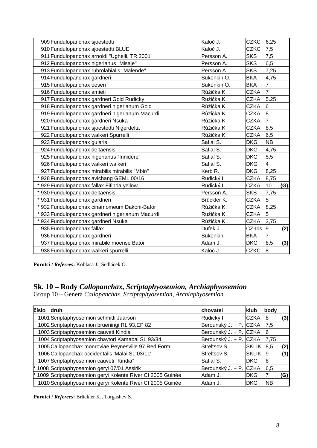| 909 Fundulopanchax sjoestedti                  | Kaloč J.           | <b>CZKC</b> | 6,25                    |     |
|------------------------------------------------|--------------------|-------------|-------------------------|-----|
| 910 Fundulopanchax sjoestedti BLUE             | Kaloč J.           | <b>CZKC</b> | 7,5                     |     |
| 911 Fundulopanchax arnoldi "Ughelli, TR 2001"  | Persson A.         | <b>SKS</b>  | 7,5                     |     |
| 912 Fundulopanchax nigerianus "Misaje"         | Persson A.         | <b>SKS</b>  | 6,5                     |     |
| 913 Fundulopanchax rubrolabialis "Malende"     | Persson A.         | <b>SKS</b>  | 7,25                    |     |
| 914 Fundulopanchax gardneri                    | Sukonkin O.        | <b>BKA</b>  | 4,75                    |     |
| 915 Fundulopanchax oeseri                      | Sukonkin O.        | <b>BKA</b>  | $\overline{7}$          |     |
| 916 Fundulopanchax amieti                      | Růžička K.         | <b>CZKA</b> | $\overline{7}$          |     |
| 917 Fundulopanchax gardneri Gold Rudický       | Růžička K.         | <b>CZKA</b> | 5.25                    |     |
| 918 Fundulopanchax gardneri nigerianum Gold    | Růžička K.         | <b>CZKA</b> | $6\phantom{1}6$         |     |
| 919 Fundulopanchax gardneri nigerianum Macurdi | Růžička K.         | <b>CZKA</b> | 8                       |     |
| 920 Fundulopanchax gardneri Nsuka              | Růžička K.         | <b>CZKA</b> | $\overline{7}$          |     |
| 921 Fundulopanchax sjoestedti Nigerdelta       | Růžička K.         | <b>CZKA</b> | 8.5                     |     |
| 922 Fundulopanchax walkeri Spurrelli           | Růžička K.         | <b>CZKA</b> | 6.5                     |     |
| 923 Fundulopanchax gularis                     | Safial S.          | <b>DKG</b>  | <b>NB</b>               |     |
| 924 Fundulopanchax deltaensis                  | Safial S.          | <b>DKG</b>  | 4,75                    |     |
| 925 Fundulopanchax nigerianus "Innidere"       | Safial S.          | <b>DKG</b>  | 5,5                     |     |
| 926 Fundulopanchax walkeri walkeri             | Safial S.          | <b>DKG</b>  | $\overline{\mathbf{4}}$ |     |
| 927 Fundulopanchax mirabilis mirabilis "Mbio"  | Kerb <sub>R.</sub> | <b>DKG</b>  | 8,25                    |     |
| * 928 Fundulopanchax avichang GEML 00/16       | Rudický I.         | <b>CZKA</b> | 8,75                    |     |
| * 929 Fundulopanchax fallax Fifinda yellow     | Rudický I.         | <b>CZKA</b> | 10                      | (G) |
| * 930 Fundulopanchax deltaensis                | Persson A.         | <b>SKS</b>  | 7,75                    |     |
| * 931 Fundulopanchax gardneri                  | Brückler K.        | <b>CZKA</b> | 5                       |     |
| * 932 Fundulopanchax cinamomeum Dakoni-Bafor   | Růžička K.         | <b>CZKA</b> | 8,25                    |     |
| 933 Fundulopanchax gardneri nigerianum Macurdi | Růžička K.         | <b>CZKA</b> | 5                       |     |
| * 934 Fundulopanchax gardneri Nsuka            | Růžička K.         | <b>CZKA</b> | 3,75                    |     |
| 935 Fundulopanchax fallax                      | Dufek J.           | CZ-Iris     | $\boldsymbol{9}$        | (2) |
| 936 Fundulopanchax gardneri                    | Sukonkin           | <b>BKA</b>  | $\overline{7}$          |     |
| 937 Fundulopanchax mirabile moense Bator       | Adam J.            | <b>DKG</b>  | 8,5                     | (3) |
| 938 Fundulopanchax walkeri spurrelli           | Kaloč J.           | <b>CZKC</b> | $\, 8$                  |     |

**Porotci /** *Referees***:** Koblasa J., Sedláček O.

### **Sk. 10 – Rody** *Callopanchax, Scriptaphyosemion, Archiaphyosemion*

Group 10 – Genera *Callopanchax, Scriptaphyosemion, Archiaphyosemion*

| číslo | <b>druh</b>                                               | chovatel               | klub         | body      |     |
|-------|-----------------------------------------------------------|------------------------|--------------|-----------|-----|
|       | 1001 Scriptaphyosemion schmitti Juarson                   | Rudický I.             | <b>CZKA</b>  | 8         | (3) |
|       | 1002 Scriptaphyosemion brueningi RL 93, EP 82             | Berounský J. + P. CZKA |              | 7,5       |     |
|       | 1003 Scriptaphyosemion cauveti Kindia                     | Berounský J. + P. CZKA |              | 6         |     |
|       | 1004 Scriptaphyosemion chaytori Kamabai SL 93/34          | Berounský J. + P. CZKA |              | 7,75      |     |
|       | 1005 Callopanchax monroviae Peynesville 97 Red Form       | Streltsov S.           | <b>SKLIK</b> | 8,5       | (2) |
|       | 1006 Callopanchax occidentalis 'Malai SL 03/11'           | Streltsov S.           | <b>SKLIK</b> | 9         | (1) |
|       | 1007 Scriptaphyosemion cauveti "Kindia"                   | Safial S.              | <b>IDKG</b>  | 8         |     |
|       | 1008 Scriptaphyosemion geryi 07/01 Assirik                | Berounský J. + P. CZKA |              | 6,5       |     |
|       | 1009 Scriptaphyosemion geryi Kolente River CI 2005 Guinée | Adam J.                | <b>IDKG</b>  |           | (G) |
|       | 1010 Scriptaphyosemion geryi Kolente River CI 2005 Guinée | Adam J.                | <b>IDKG</b>  | <b>NB</b> |     |

**Porotci /** *Referees***:** Brückler K., Torgashev S.